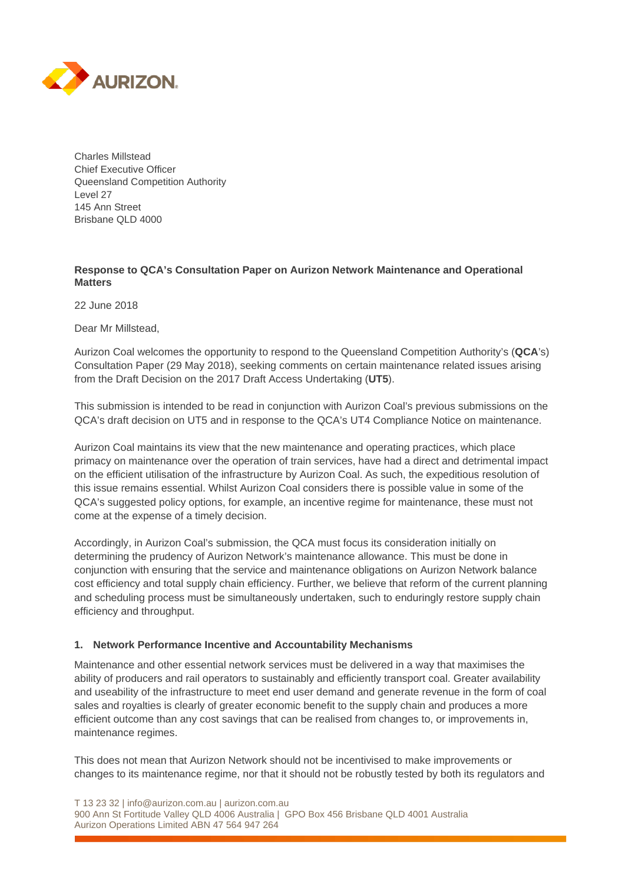

Charles Millstead Chief Executive Officer Queensland Competition Authority Level 27 145 Ann Street Brisbane QLD 4000

# **Response to QCA's Consultation Paper on Aurizon Network Maintenance and Operational Matters**

22 June 2018

Dear Mr Millstead,

Aurizon Coal welcomes the opportunity to respond to the Queensland Competition Authority's (**QCA**'s) Consultation Paper (29 May 2018), seeking comments on certain maintenance related issues arising from the Draft Decision on the 2017 Draft Access Undertaking (**UT5**).

This submission is intended to be read in conjunction with Aurizon Coal's previous submissions on the QCA's draft decision on UT5 and in response to the QCA's UT4 Compliance Notice on maintenance.

Aurizon Coal maintains its view that the new maintenance and operating practices, which place primacy on maintenance over the operation of train services, have had a direct and detrimental impact on the efficient utilisation of the infrastructure by Aurizon Coal. As such, the expeditious resolution of this issue remains essential. Whilst Aurizon Coal considers there is possible value in some of the QCA's suggested policy options, for example, an incentive regime for maintenance, these must not come at the expense of a timely decision.

Accordingly, in Aurizon Coal's submission, the QCA must focus its consideration initially on determining the prudency of Aurizon Network's maintenance allowance. This must be done in conjunction with ensuring that the service and maintenance obligations on Aurizon Network balance cost efficiency and total supply chain efficiency. Further, we believe that reform of the current planning and scheduling process must be simultaneously undertaken, such to enduringly restore supply chain efficiency and throughput.

### **1. Network Performance Incentive and Accountability Mechanisms**

Maintenance and other essential network services must be delivered in a way that maximises the ability of producers and rail operators to sustainably and efficiently transport coal. Greater availability and useability of the infrastructure to meet end user demand and generate revenue in the form of coal sales and royalties is clearly of greater economic benefit to the supply chain and produces a more efficient outcome than any cost savings that can be realised from changes to, or improvements in, maintenance regimes.

This does not mean that Aurizon Network should not be incentivised to make improvements or changes to its maintenance regime, nor that it should not be robustly tested by both its regulators and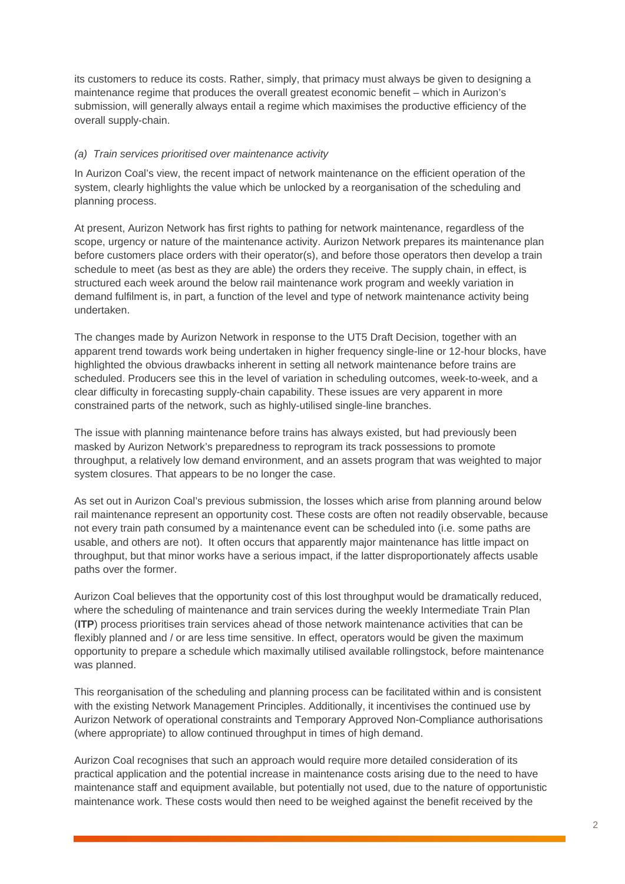its customers to reduce its costs. Rather, simply, that primacy must always be given to designing a maintenance regime that produces the overall greatest economic benefit – which in Aurizon's submission, will generally always entail a regime which maximises the productive efficiency of the overall supply-chain.

### *(a) Train services prioritised over maintenance activity*

In Aurizon Coal's view, the recent impact of network maintenance on the efficient operation of the system, clearly highlights the value which be unlocked by a reorganisation of the scheduling and planning process.

At present, Aurizon Network has first rights to pathing for network maintenance, regardless of the scope, urgency or nature of the maintenance activity. Aurizon Network prepares its maintenance plan before customers place orders with their operator(s), and before those operators then develop a train schedule to meet (as best as they are able) the orders they receive. The supply chain, in effect, is structured each week around the below rail maintenance work program and weekly variation in demand fulfilment is, in part, a function of the level and type of network maintenance activity being undertaken.

The changes made by Aurizon Network in response to the UT5 Draft Decision, together with an apparent trend towards work being undertaken in higher frequency single-line or 12-hour blocks, have highlighted the obvious drawbacks inherent in setting all network maintenance before trains are scheduled. Producers see this in the level of variation in scheduling outcomes, week-to-week, and a clear difficulty in forecasting supply-chain capability. These issues are very apparent in more constrained parts of the network, such as highly-utilised single-line branches.

The issue with planning maintenance before trains has always existed, but had previously been masked by Aurizon Network's preparedness to reprogram its track possessions to promote throughput, a relatively low demand environment, and an assets program that was weighted to major system closures. That appears to be no longer the case.

As set out in Aurizon Coal's previous submission, the losses which arise from planning around below rail maintenance represent an opportunity cost. These costs are often not readily observable, because not every train path consumed by a maintenance event can be scheduled into (i.e. some paths are usable, and others are not). It often occurs that apparently major maintenance has little impact on throughput, but that minor works have a serious impact, if the latter disproportionately affects usable paths over the former.

Aurizon Coal believes that the opportunity cost of this lost throughput would be dramatically reduced, where the scheduling of maintenance and train services during the weekly Intermediate Train Plan (**ITP**) process prioritises train services ahead of those network maintenance activities that can be flexibly planned and / or are less time sensitive. In effect, operators would be given the maximum opportunity to prepare a schedule which maximally utilised available rollingstock, before maintenance was planned.

This reorganisation of the scheduling and planning process can be facilitated within and is consistent with the existing Network Management Principles. Additionally, it incentivises the continued use by Aurizon Network of operational constraints and Temporary Approved Non-Compliance authorisations (where appropriate) to allow continued throughput in times of high demand.

Aurizon Coal recognises that such an approach would require more detailed consideration of its practical application and the potential increase in maintenance costs arising due to the need to have maintenance staff and equipment available, but potentially not used, due to the nature of opportunistic maintenance work. These costs would then need to be weighed against the benefit received by the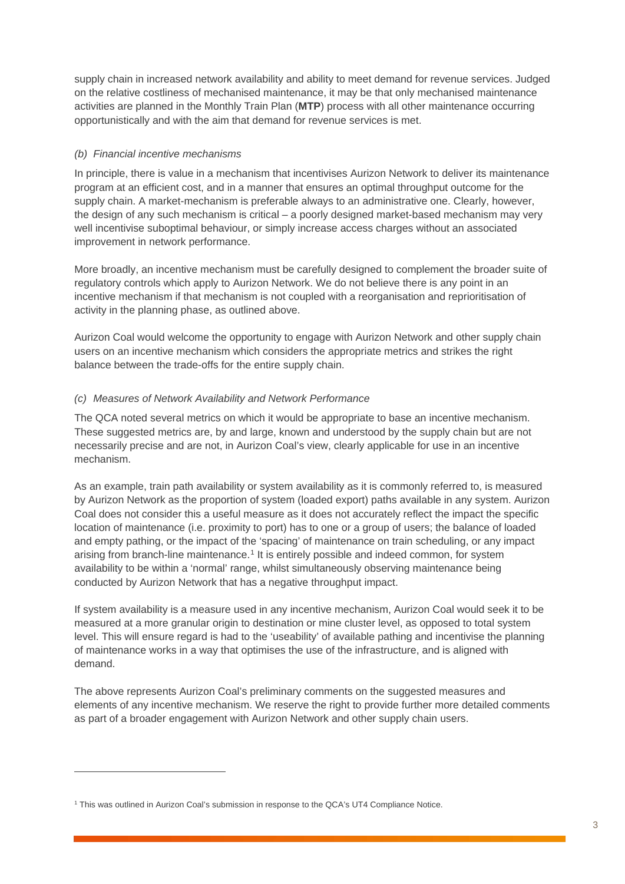supply chain in increased network availability and ability to meet demand for revenue services. Judged on the relative costliness of mechanised maintenance, it may be that only mechanised maintenance activities are planned in the Monthly Train Plan (**MTP**) process with all other maintenance occurring opportunistically and with the aim that demand for revenue services is met.

## *(b) Financial incentive mechanisms*

In principle, there is value in a mechanism that incentivises Aurizon Network to deliver its maintenance program at an efficient cost, and in a manner that ensures an optimal throughput outcome for the supply chain. A market-mechanism is preferable always to an administrative one. Clearly, however, the design of any such mechanism is critical – a poorly designed market-based mechanism may very well incentivise suboptimal behaviour, or simply increase access charges without an associated improvement in network performance.

More broadly, an incentive mechanism must be carefully designed to complement the broader suite of regulatory controls which apply to Aurizon Network. We do not believe there is any point in an incentive mechanism if that mechanism is not coupled with a reorganisation and reprioritisation of activity in the planning phase, as outlined above.

Aurizon Coal would welcome the opportunity to engage with Aurizon Network and other supply chain users on an incentive mechanism which considers the appropriate metrics and strikes the right balance between the trade-offs for the entire supply chain.

## *(c) Measures of Network Availability and Network Performance*

The QCA noted several metrics on which it would be appropriate to base an incentive mechanism. These suggested metrics are, by and large, known and understood by the supply chain but are not necessarily precise and are not, in Aurizon Coal's view, clearly applicable for use in an incentive mechanism.

As an example, train path availability or system availability as it is commonly referred to, is measured by Aurizon Network as the proportion of system (loaded export) paths available in any system. Aurizon Coal does not consider this a useful measure as it does not accurately reflect the impact the specific location of maintenance (i.e. proximity to port) has to one or a group of users; the balance of loaded and empty pathing, or the impact of the 'spacing' of maintenance on train scheduling, or any impact arising from branch-line maintenance.<sup>[1](#page-2-0)</sup> It is entirely possible and indeed common, for system availability to be within a 'normal' range, whilst simultaneously observing maintenance being conducted by Aurizon Network that has a negative throughput impact.

If system availability is a measure used in any incentive mechanism, Aurizon Coal would seek it to be measured at a more granular origin to destination or mine cluster level, as opposed to total system level. This will ensure regard is had to the 'useability' of available pathing and incentivise the planning of maintenance works in a way that optimises the use of the infrastructure, and is aligned with demand.

The above represents Aurizon Coal's preliminary comments on the suggested measures and elements of any incentive mechanism. We reserve the right to provide further more detailed comments as part of a broader engagement with Aurizon Network and other supply chain users.

-

<span id="page-2-0"></span><sup>1</sup> This was outlined in Aurizon Coal's submission in response to the QCA's UT4 Compliance Notice.